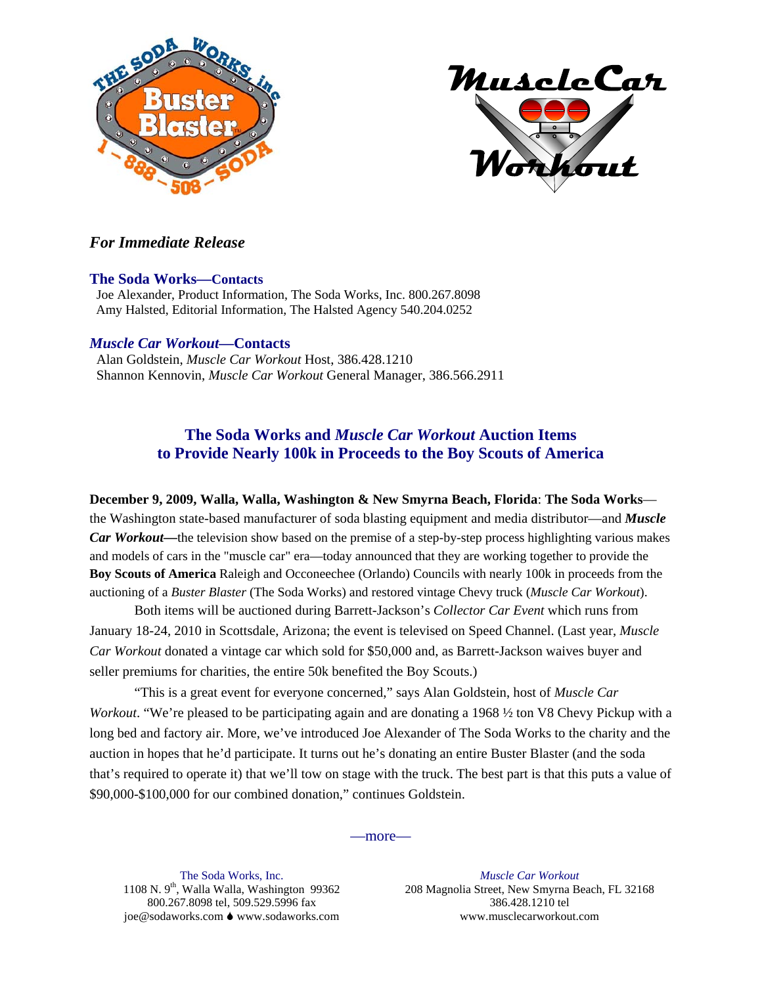



### *For Immediate Release*

#### **The Soda Works—Contacts**

 Joe Alexander, Product Information, The Soda Works, Inc. 800.267.8098 Amy Halsted, Editorial Information, The Halsted Agency 540.204.0252

#### *Muscle Car Workout***—Contacts**

 Alan Goldstein, *Muscle Car Workout* Host, 386.428.1210 Shannon Kennovin, *Muscle Car Workout* General Manager, 386.566.2911

## **The Soda Works and** *Muscle Car Workout* **Auction Items to Provide Nearly 100k in Proceeds to the Boy Scouts of America**

**December 9, 2009, Walla, Walla, Washington & New Smyrna Beach, Florida**: **The Soda Works** the Washington state-based manufacturer of soda blasting equipment and media distributor—and *Muscle Car Workout***—**the television show based on the premise of a step-by-step process highlighting various makes and models of cars in the "muscle car" era—today announced that they are working together to provide the **Boy Scouts of America** Raleigh and Occoneechee (Orlando) Councils with nearly 100k in proceeds from the auctioning of a *Buster Blaster* (The Soda Works) and restored vintage Chevy truck (*Muscle Car Workout*).

 Both items will be auctioned during Barrett-Jackson's *Collector Car Event* which runs from January 18-24, 2010 in Scottsdale, Arizona; the event is televised on Speed Channel. (Last year, *Muscle Car Workout* donated a vintage car which sold for \$50,000 and, as Barrett-Jackson waives buyer and seller premiums for charities, the entire 50k benefited the Boy Scouts.)

 "This is a great event for everyone concerned," says Alan Goldstein, host of *Muscle Car Workout*. "We're pleased to be participating again and are donating a 1968 ½ ton V8 Chevy Pickup with a long bed and factory air. More, we've introduced Joe Alexander of The Soda Works to the charity and the auction in hopes that he'd participate. It turns out he's donating an entire Buster Blaster (and the soda that's required to operate it) that we'll tow on stage with the truck. The best part is that this puts a value of \$90,000-\$100,000 for our combined donation," continues Goldstein.

#### —more—

The Soda Works, Inc. 1108 N. 9<sup>th</sup>, Walla Walla, Washington 99362 800.267.8098 tel, 509.529.5996 fax joe@sodaworks.com ♦ www.sodaworks.com

*Muscle Car Workout* 208 Magnolia Street, New Smyrna Beach, FL 32168 386.428.1210 tel www.musclecarworkout.com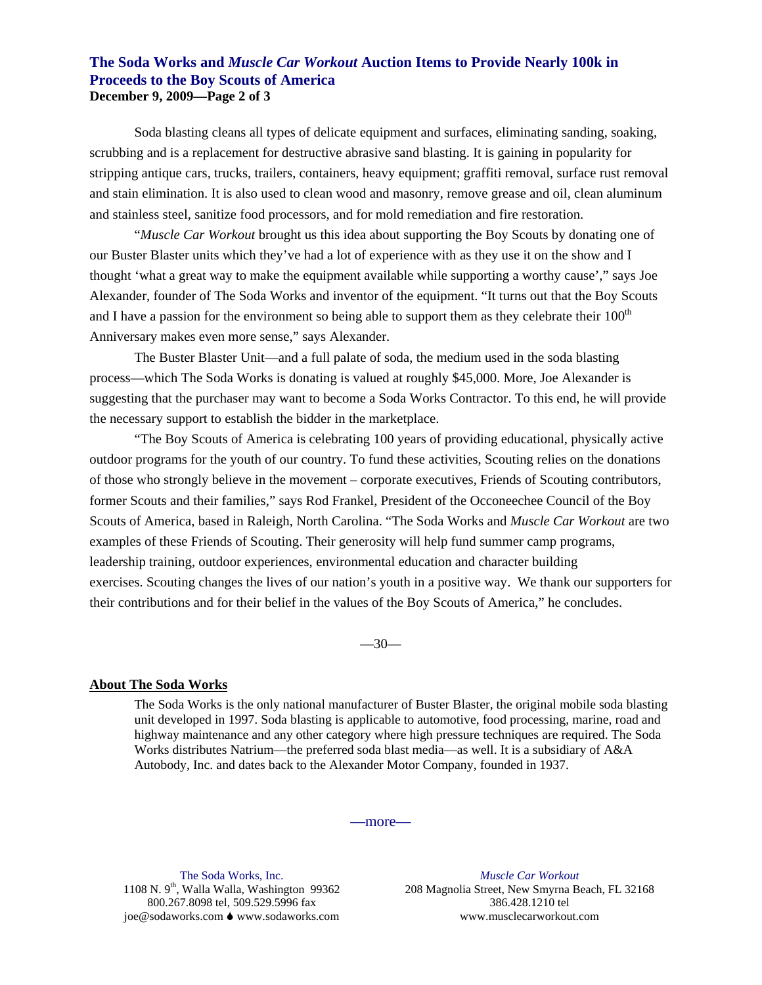### **The Soda Works and** *Muscle Car Workout* **Auction Items to Provide Nearly 100k in Proceeds to the Boy Scouts of America December 9, 2009—Page 2 of 3**

Soda blasting cleans all types of delicate equipment and surfaces, eliminating sanding, soaking, scrubbing and is a replacement for destructive abrasive sand blasting. It is gaining in popularity for stripping antique cars, trucks, trailers, containers, heavy equipment; graffiti removal, surface rust removal and stain elimination. It is also used to clean wood and masonry, remove grease and oil, clean aluminum and stainless steel, sanitize food processors, and for mold remediation and fire restoration.

 "*Muscle Car Workout* brought us this idea about supporting the Boy Scouts by donating one of our Buster Blaster units which they've had a lot of experience with as they use it on the show and I thought 'what a great way to make the equipment available while supporting a worthy cause'," says Joe Alexander, founder of The Soda Works and inventor of the equipment. "It turns out that the Boy Scouts and I have a passion for the environment so being able to support them as they celebrate their  $100<sup>th</sup>$ Anniversary makes even more sense," says Alexander.

 The Buster Blaster Unit—and a full palate of soda, the medium used in the soda blasting process—which The Soda Works is donating is valued at roughly \$45,000. More, Joe Alexander is suggesting that the purchaser may want to become a Soda Works Contractor. To this end, he will provide the necessary support to establish the bidder in the marketplace.

 "The Boy Scouts of America is celebrating 100 years of providing educational, physically active outdoor programs for the youth of our country. To fund these activities, Scouting relies on the donations of those who strongly believe in the movement – corporate executives, Friends of Scouting contributors, former Scouts and their families," says Rod Frankel, President of the Occoneechee Council of the Boy Scouts of America, based in Raleigh, North Carolina. "The Soda Works and *Muscle Car Workout* are two examples of these Friends of Scouting. Their generosity will help fund summer camp programs, leadership training, outdoor experiences, environmental education and character building exercises. Scouting changes the lives of our nation's youth in a positive way. We thank our supporters for their contributions and for their belief in the values of the Boy Scouts of America," he concludes.

 $-30-$ 

#### **About The Soda Works**

The Soda Works is the only national manufacturer of Buster Blaster, the original mobile soda blasting unit developed in 1997. Soda blasting is applicable to automotive, food processing, marine, road and highway maintenance and any other category where high pressure techniques are required. The Soda Works distributes Natrium—the preferred soda blast media—as well. It is a subsidiary of A&A Autobody, Inc. and dates back to the Alexander Motor Company, founded in 1937.

—more—

The Soda Works, Inc. 1108 N.  $9<sup>th</sup>$ , Walla Walla, Washington 99362 800.267.8098 tel, 509.529.5996 fax joe@sodaworks.com ♦ www.sodaworks.com

*Muscle Car Workout* 208 Magnolia Street, New Smyrna Beach, FL 32168 386.428.1210 tel www.musclecarworkout.com